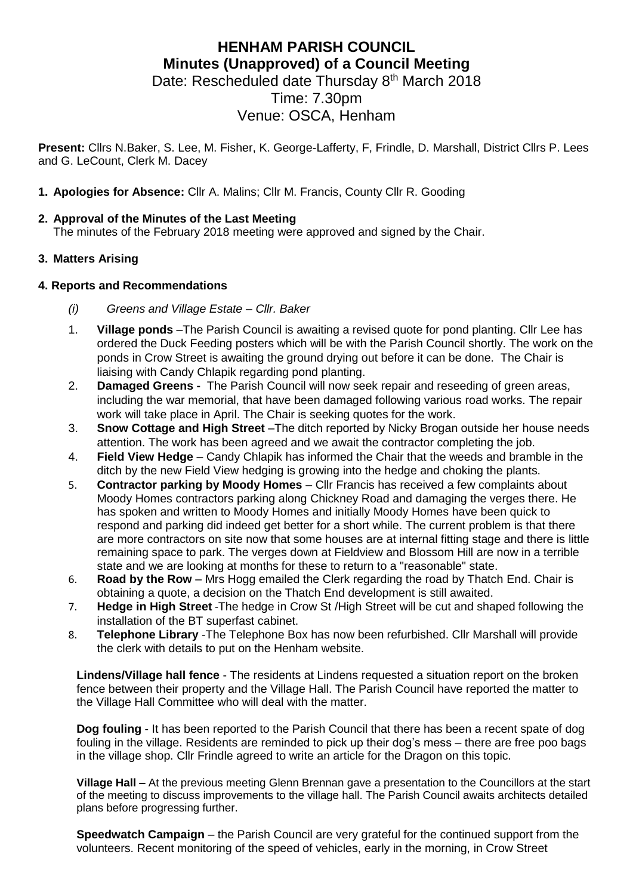# **HENHAM PARISH COUNCIL Minutes (Unapproved) of a Council Meeting**

Date: Rescheduled date Thursday 8<sup>th</sup> March 2018

Time: 7.30pm

## Venue: OSCA, Henham

**Present:** Cllrs N.Baker, S. Lee, M. Fisher, K. George-Lafferty, F, Frindle, D. Marshall, District Cllrs P. Lees and G. LeCount, Clerk M. Dacey

**1. Apologies for Absence:** Cllr A. Malins; Cllr M. Francis, County Cllr R. Gooding

## **2. Approval of the Minutes of the Last Meeting**

The minutes of the February 2018 meeting were approved and signed by the Chair.

## **3. Matters Arising**

## **4. Reports and Recommendations**

- *(i) Greens and Village Estate – Cllr. Baker*
- 1. **Village ponds** –The Parish Council is awaiting a revised quote for pond planting. Cllr Lee has ordered the Duck Feeding posters which will be with the Parish Council shortly. The work on the ponds in Crow Street is awaiting the ground drying out before it can be done. The Chair is liaising with Candy Chlapik regarding pond planting.
- 2. **Damaged Greens -** The Parish Council will now seek repair and reseeding of green areas, including the war memorial, that have been damaged following various road works. The repair work will take place in April. The Chair is seeking quotes for the work.
- 3. **Snow Cottage and High Street** –The ditch reported by Nicky Brogan outside her house needs attention. The work has been agreed and we await the contractor completing the job.
- 4. **Field View Hedge**  Candy Chlapik has informed the Chair that the weeds and bramble in the ditch by the new Field View hedging is growing into the hedge and choking the plants.
- 5. **Contractor parking by Moody Homes**  Cllr Francis has received a few complaints about Moody Homes contractors parking along Chickney Road and damaging the verges there. He has spoken and written to Moody Homes and initially Moody Homes have been quick to respond and parking did indeed get better for a short while. The current problem is that there are more contractors on site now that some houses are at internal fitting stage and there is little remaining space to park. The verges down at Fieldview and Blossom Hill are now in a terrible state and we are looking at months for these to return to a "reasonable" state.
- 6. **Road by the Row**  Mrs Hogg emailed the Clerk regarding the road by Thatch End. Chair is obtaining a quote, a decision on the Thatch End development is still awaited.
- 7. **Hedge in High Street** -The hedge in Crow St /High Street will be cut and shaped following the installation of the BT superfast cabinet.
- 8. **Telephone Library** -The Telephone Box has now been refurbished. Cllr Marshall will provide the clerk with details to put on the Henham website.

**Lindens/Village hall fence** - The residents at Lindens requested a situation report on the broken fence between their property and the Village Hall. The Parish Council have reported the matter to the Village Hall Committee who will deal with the matter.

**Dog fouling** - It has been reported to the Parish Council that there has been a recent spate of dog fouling in the village. Residents are reminded to pick up their dog's mess – there are free poo bags in the village shop. Cllr Frindle agreed to write an article for the Dragon on this topic.

**Village Hall –** At the previous meeting Glenn Brennan gave a presentation to the Councillors at the start of the meeting to discuss improvements to the village hall. The Parish Council awaits architects detailed plans before progressing further.

**Speedwatch Campaign** – the Parish Council are very grateful for the continued support from the volunteers. Recent monitoring of the speed of vehicles, early in the morning, in Crow Street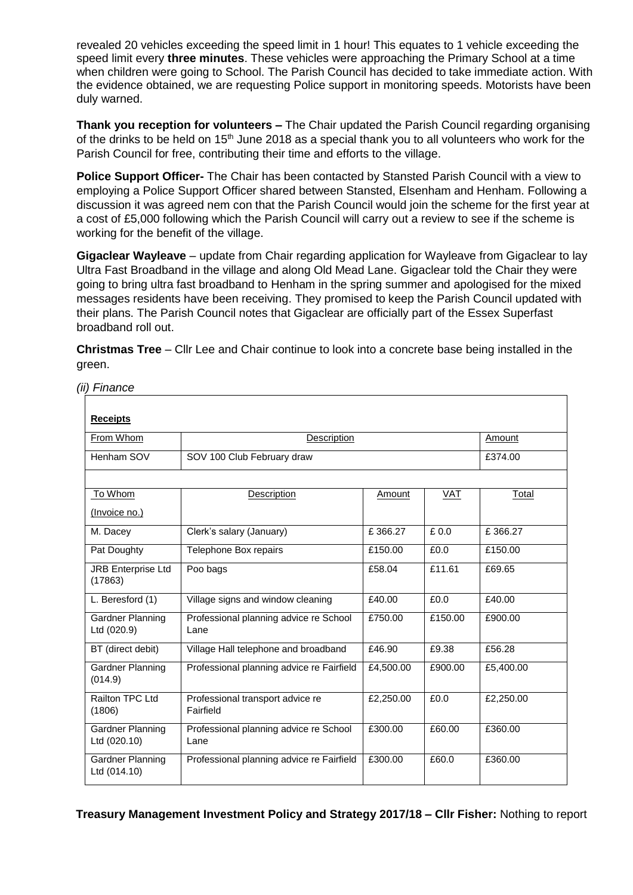revealed 20 vehicles exceeding the speed limit in 1 hour! This equates to 1 vehicle exceeding the speed limit every **three minutes**. These vehicles were approaching the Primary School at a time when children were going to School. The Parish Council has decided to take immediate action. With the evidence obtained, we are requesting Police support in monitoring speeds. Motorists have been duly warned.

**Thank you reception for volunteers –** The Chair updated the Parish Council regarding organising of the drinks to be held on 15<sup>th</sup> June 2018 as a special thank you to all volunteers who work for the Parish Council for free, contributing their time and efforts to the village.

**Police Support Officer-** The Chair has been contacted by Stansted Parish Council with a view to employing a Police Support Officer shared between Stansted, Elsenham and Henham. Following a discussion it was agreed nem con that the Parish Council would join the scheme for the first year at a cost of £5,000 following which the Parish Council will carry out a review to see if the scheme is working for the benefit of the village.

**Gigaclear Wayleave** – update from Chair regarding application for Wayleave from Gigaclear to lay Ultra Fast Broadband in the village and along Old Mead Lane. Gigaclear told the Chair they were going to bring ultra fast broadband to Henham in the spring summer and apologised for the mixed messages residents have been receiving. They promised to keep the Parish Council updated with their plans. The Parish Council notes that Gigaclear are officially part of the Essex Superfast broadband roll out.

**Christmas Tree** – Cllr Lee and Chair continue to look into a concrete base being installed in the green.

*(ii) Finance*

| <b>Receipts</b>                      |                                                |           |         |           |
|--------------------------------------|------------------------------------------------|-----------|---------|-----------|
| From Whom                            | Description                                    |           |         | Amount    |
| Henham SOV                           | SOV 100 Club February draw                     |           |         | £374.00   |
|                                      |                                                |           |         |           |
| To Whom                              | Description                                    | Amount    | VAT     | Total     |
| (Invoice no.)                        |                                                |           |         |           |
| M. Dacey                             | Clerk's salary (January)                       | £366.27   | £0.0    | £366.27   |
| Pat Doughty                          | Telephone Box repairs                          | £150.00   | £0.0    | £150.00   |
| <b>JRB Enterprise Ltd</b><br>(17863) | Poo bags                                       | £58.04    | £11.61  | £69.65    |
| L. Beresford (1)                     | Village signs and window cleaning              | £40.00    | £0.0    | £40.00    |
| Gardner Planning<br>Ltd (020.9)      | Professional planning advice re School<br>Lane | £750.00   | £150.00 | £900.00   |
| BT (direct debit)                    | Village Hall telephone and broadband           | £46.90    | £9.38   | £56.28    |
| Gardner Planning<br>(014.9)          | Professional planning advice re Fairfield      | £4,500.00 | £900.00 | £5,400.00 |
| Railton TPC Ltd<br>(1806)            | Professional transport advice re<br>Fairfield  | £2,250.00 | £0.0    | £2,250.00 |
| Gardner Planning<br>Ltd (020.10)     | Professional planning advice re School<br>Lane | £300.00   | £60.00  | £360.00   |
| Gardner Planning<br>Ltd (014.10)     | Professional planning advice re Fairfield      | £300.00   | £60.0   | £360.00   |

**Treasury Management Investment Policy and Strategy 2017/18 – Cllr Fisher:** Nothing to report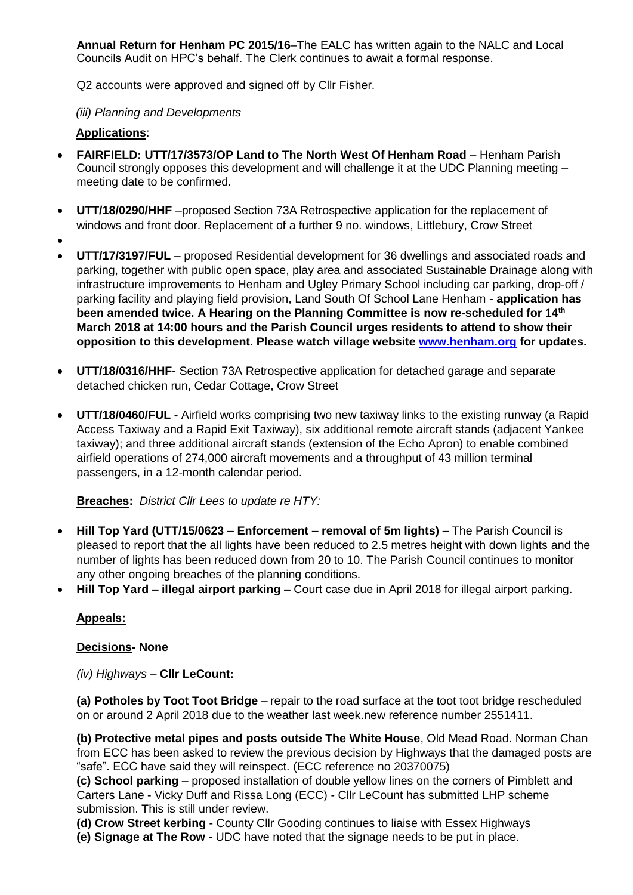**Annual Return for Henham PC 2015/16**–The EALC has written again to the NALC and Local Councils Audit on HPC's behalf. The Clerk continues to await a formal response.

Q2 accounts were approved and signed off by Cllr Fisher.

*(iii) Planning and Developments*

#### **Applications**:

- **FAIRFIELD: UTT/17/3573/OP Land to The North West Of Henham Road** Henham Parish Council strongly opposes this development and will challenge it at the UDC Planning meeting – meeting date to be confirmed.
- **UTT/18/0290/HHF** –proposed Section 73A Retrospective application for the replacement of windows and front door. Replacement of a further 9 no. windows, Littlebury, Crow Street
- $\bullet$
- **UTT/17/3197/FUL** proposed Residential development for 36 dwellings and associated roads and parking, together with public open space, play area and associated Sustainable Drainage along with infrastructure improvements to Henham and Ugley Primary School including car parking, drop-off / parking facility and playing field provision, Land South Of School Lane Henham - **application has been amended twice. A Hearing on the Planning Committee is now re-scheduled for 14th March 2018 at 14:00 hours and the Parish Council urges residents to attend to show their opposition to this development. Please watch village website [www.henham.org](http://www.henham.org/) for updates.**
- **UTT/18/0316/HHF** Section 73A Retrospective application for detached garage and separate detached chicken run, Cedar Cottage, Crow Street
- **UTT/18/0460/FUL -** Airfield works comprising two new taxiway links to the existing runway (a Rapid Access Taxiway and a Rapid Exit Taxiway), six additional remote aircraft stands (adjacent Yankee taxiway); and three additional aircraft stands (extension of the Echo Apron) to enable combined airfield operations of 274,000 aircraft movements and a throughput of 43 million terminal passengers, in a 12-month calendar period.

**Breaches:** *District Cllr Lees to update re HTY:*

- **Hill Top Yard (UTT/15/0623 – Enforcement – removal of 5m lights) –** The Parish Council is pleased to report that the all lights have been reduced to 2.5 metres height with down lights and the number of lights has been reduced down from 20 to 10. The Parish Council continues to monitor any other ongoing breaches of the planning conditions.
- **Hill Top Yard – illegal airport parking –** Court case due in April 2018 for illegal airport parking.

#### **Appeals:**

#### **Decisions- None**

*(iv) Highways –* **Cllr LeCount:**

**(a) Potholes by Toot Toot Bridge** – repair to the road surface at the toot toot bridge rescheduled on or around 2 April 2018 due to the weather last week.new reference number 2551411.

**(b) Protective metal pipes and posts outside The White House**, Old Mead Road. Norman Chan from ECC has been asked to review the previous decision by Highways that the damaged posts are "safe". ECC have said they will reinspect. (ECC reference no 20370075)

**(c) School parking** – proposed installation of double yellow lines on the corners of Pimblett and Carters Lane - Vicky Duff and Rissa Long (ECC) - Cllr LeCount has submitted LHP scheme submission. This is still under review.

**(d) Crow Street kerbing** - County Cllr Gooding continues to liaise with Essex Highways

**(e) Signage at The Row** - UDC have noted that the signage needs to be put in place.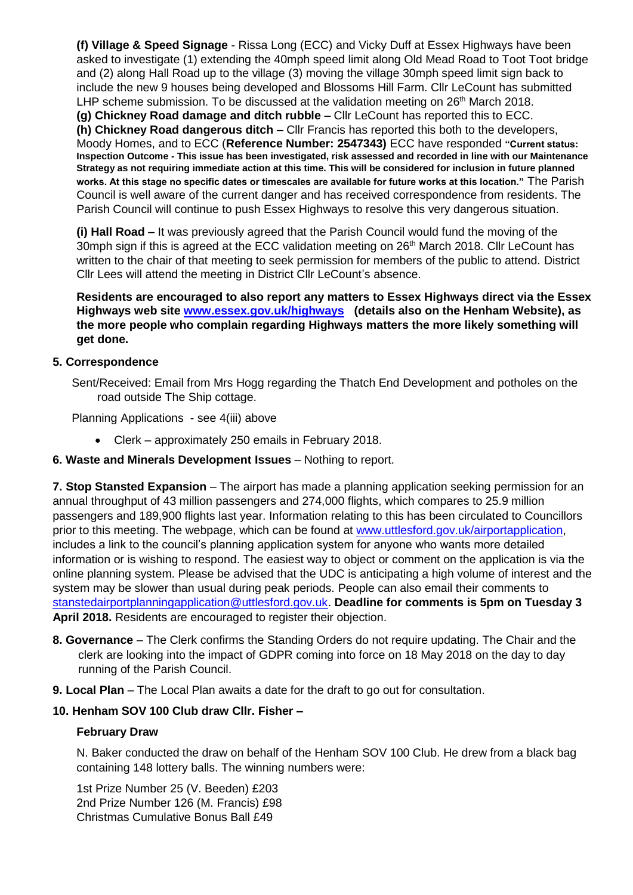**(f) Village & Speed Signage** - Rissa Long (ECC) and Vicky Duff at Essex Highways have been asked to investigate (1) extending the 40mph speed limit along Old Mead Road to Toot Toot bridge and (2) along Hall Road up to the village (3) moving the village 30mph speed limit sign back to include the new 9 houses being developed and Blossoms Hill Farm. Cllr LeCount has submitted LHP scheme submission. To be discussed at the validation meeting on 26<sup>th</sup> March 2018. **(g) Chickney Road damage and ditch rubble –** Cllr LeCount has reported this to ECC.

**(h) Chickney Road dangerous ditch –** Cllr Francis has reported this both to the developers, Moody Homes, and to ECC (**Reference Number: 2547343)** ECC have responded **"Current status: Inspection Outcome - This issue has been investigated, risk assessed and recorded in line with our Maintenance Strategy as not requiring immediate action at this time. This will be considered for inclusion in future planned works. At this stage no specific dates or timescales are available for future works at this location."** The Parish Council is well aware of the current danger and has received correspondence from residents. The Parish Council will continue to push Essex Highways to resolve this very dangerous situation.

**(i) Hall Road –** It was previously agreed that the Parish Council would fund the moving of the 30mph sign if this is agreed at the ECC validation meeting on 26<sup>th</sup> March 2018. Cllr LeCount has written to the chair of that meeting to seek permission for members of the public to attend. District Cllr Lees will attend the meeting in District Cllr LeCount's absence.

**Residents are encouraged to also report any matters to Essex Highways direct via the Essex Highways web site [www.essex.gov.uk/highways](http://www.essex.gov.uk/highways) (details also on the Henham Website), as the more people who complain regarding Highways matters the more likely something will get done.**

#### **5. Correspondence**

Sent/Received: Email from Mrs Hogg regarding the Thatch End Development and potholes on the road outside The Ship cottage.

Planning Applications - see 4(iii) above

- Clerk approximately 250 emails in February 2018.
- **6. Waste and Minerals Development Issues** Nothing to report.

**7. Stop Stansted Expansion** – The airport has made a planning application seeking permission for an annual throughput of 43 million passengers and 274,000 flights, which compares to 25.9 million passengers and 189,900 flights last year. Information relating to this has been circulated to Councillors prior to this meeting. The webpage, which can be found at [www.uttlesford.gov.uk/airportapplication,](http://www.uttlesford.gov.uk/airportapplication) includes a link to the council's planning application system for anyone who wants more detailed information or is wishing to respond. The easiest way to object or comment on the application is via the online planning system. Please be advised that the UDC is anticipating a high volume of interest and the system may be slower than usual during peak periods. People can also email their comments to [stanstedairportplanningapplication@uttlesford.gov.uk.](mailto:stanstedairportplanningapplication@uttlesford.gov.uk) **Deadline for comments is 5pm on Tuesday 3 April 2018.** Residents are encouraged to register their objection.

- **8. Governance** The Clerk confirms the Standing Orders do not require updating. The Chair and the clerk are looking into the impact of GDPR coming into force on 18 May 2018 on the day to day running of the Parish Council.
- **9. Local Plan** The Local Plan awaits a date for the draft to go out for consultation.

## **10. Henham SOV 100 Club draw Cllr. Fisher –**

#### **February Draw**

N. Baker conducted the draw on behalf of the Henham SOV 100 Club. He drew from a black bag containing 148 lottery balls. The winning numbers were:

1st Prize Number 25 (V. Beeden) £203 2nd Prize Number 126 (M. Francis) £98 Christmas Cumulative Bonus Ball £49